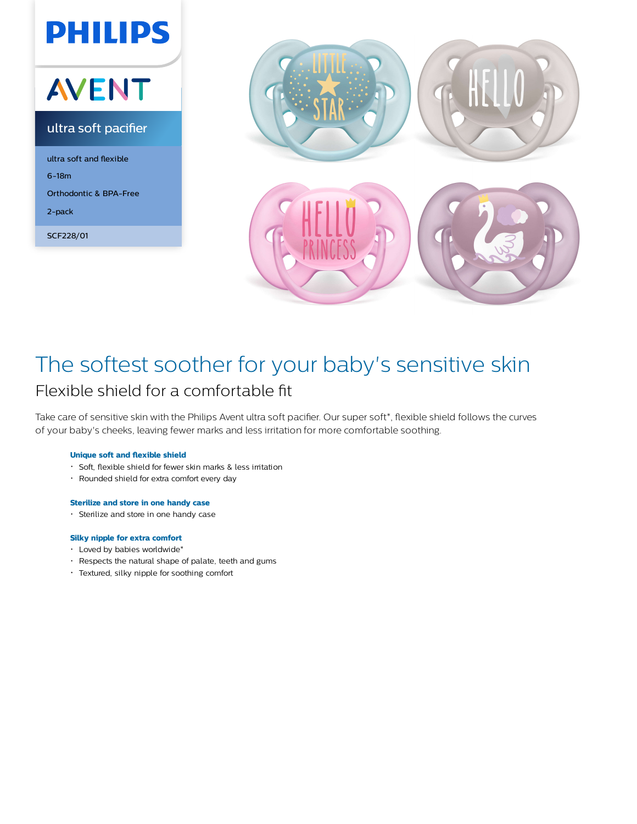



# The softest soother for your baby's sensitive skin Flexible shield for a comfortable fit

Take care of sensitive skin with the Philips Avent ultra soft pacifier. Our super soft\*, flexible shield follows the curves of your baby's cheeks, leaving fewer marks and less irritation for more comfortable soothing.

## **Unique soft and flexible shield**

- Soft, flexible shield for fewer skin marks & less irritation
- Rounded shield for extra comfort every day

### **Sterilize and store in one handy case**

Sterilize and store in one handy case

#### **Silky nipple for extra comfort**

- Loved by babies worldwide\*
- Respects the natural shape of palate, teeth and gums
- Textured, silky nipple for soothing comfort